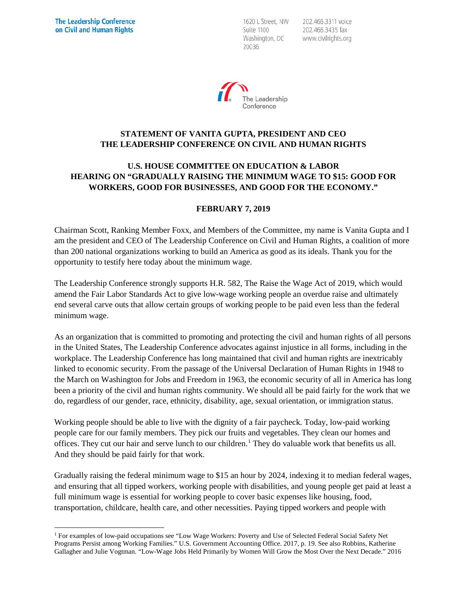1620 L Street, NW Suite 1100 Washington, DC 20036

202.466.3311 voice 202.466.3435 fax www.civilrights.org



## **STATEMENT OF VANITA GUPTA, PRESIDENT AND CEO THE LEADERSHIP CONFERENCE ON CIVIL AND HUMAN RIGHTS**

## **U.S. HOUSE COMMITTEE ON EDUCATION & LABOR HEARING ON "GRADUALLY RAISING THE MINIMUM WAGE TO \$15: GOOD FOR WORKERS, GOOD FOR BUSINESSES, AND GOOD FOR THE ECONOMY."**

## **FEBRUARY 7, 2019**

Chairman Scott, Ranking Member Foxx, and Members of the Committee, my name is Vanita Gupta and I am the president and CEO of The Leadership Conference on Civil and Human Rights, a coalition of more than 200 national organizations working to build an America as good as its ideals. Thank you for the opportunity to testify here today about the minimum wage.

The Leadership Conference strongly supports H.R. 582, The Raise the Wage Act of 2019, which would amend the Fair Labor Standards Act to give low-wage working people an overdue raise and ultimately end several carve outs that allow certain groups of working people to be paid even less than the federal minimum wage.

As an organization that is committed to promoting and protecting the civil and human rights of all persons in the United States, The Leadership Conference advocates against injustice in all forms, including in the workplace. The Leadership Conference has long maintained that civil and human rights are inextricably linked to economic security. From the passage of the Universal Declaration of Human Rights in 1948 to the March on Washington for Jobs and Freedom in 1963, the economic security of all in America has long been a priority of the civil and human rights community. We should all be paid fairly for the work that we do, regardless of our gender, race, ethnicity, disability, age, sexual orientation, or immigration status.

Working people should be able to live with the dignity of a fair paycheck. Today, low-paid working people care for our family members. They pick our fruits and vegetables. They clean our homes and offices. They cut our hair and serve lunch to our children.[1](#page-0-0) They do valuable work that benefits us all. And they should be paid fairly for that work.

Gradually raising the federal minimum wage to \$15 an hour by 2024, indexing it to median federal wages, and ensuring that all tipped workers, working people with disabilities, and young people get paid at least a full minimum wage is essential for working people to cover basic expenses like housing, food, transportation, childcare, health care, and other necessities. Paying tipped workers and people with

<span id="page-0-0"></span> <sup>1</sup> For examples of low-paid occupations see "Low Wage Workers: Poverty and Use of Selected Federal Social Safety Net Programs Persist among Working Families." U.S. Government Accounting Office. 2017, p. 19. See also Robbins, Katherine Gallagher and Julie Vogtman. "Low-Wage Jobs Held Primarily by Women Will Grow the Most Over the Next Decade." 2016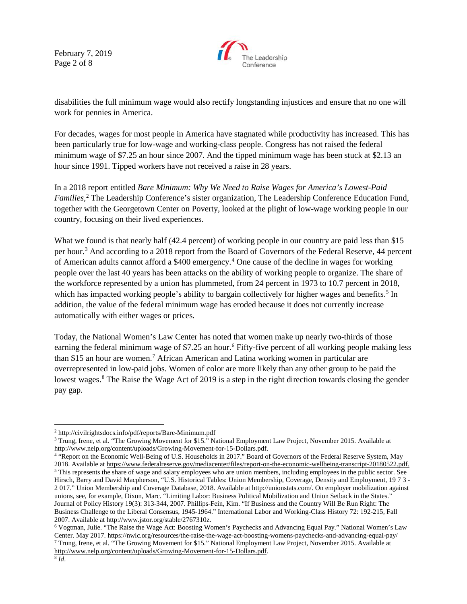February 7, 2019 Page 2 of 8



disabilities the full minimum wage would also rectify longstanding injustices and ensure that no one will work for pennies in America.

For decades, wages for most people in America have stagnated while productivity has increased. This has been particularly true for low-wage and working-class people. Congress has not raised the federal minimum wage of \$7.25 an hour since 2007. And the tipped minimum wage has been stuck at \$2.13 an hour since 1991. Tipped workers have not received a raise in 28 years.

In a 2018 report entitled *Bare Minimum: Why We Need to Raise Wages for America's Lowest-Paid Families,* [2](#page-1-0) The Leadership Conference's sister organization, The Leadership Conference Education Fund, together with the Georgetown Center on Poverty, looked at the plight of low-wage working people in our country, focusing on their lived experiences.

What we found is that nearly half (42.4 percent) of working people in our country are paid less than \$15 per hour[.3](#page-1-1) And according to a 2018 report from the Board of Governors of the Federal Reserve, 44 percent of American adults cannot afford a \$400 emergency.[4](#page-1-2) One cause of the decline in wages for working people over the last 40 years has been attacks on the ability of working people to organize. The share of the workforce represented by a union has plummeted, from 24 percent in 1973 to 10.7 percent in 2018, which has impacted working people's ability to bargain collectively for higher wages and benefits.<sup>[5](#page-1-3)</sup> In addition, the value of the federal minimum wage has eroded because it does not currently increase automatically with either wages or prices.

Today, the National Women's Law Center has noted that women make up nearly two-thirds of those earning the federal minimum wage of \$7.25 an hour.<sup>[6](#page-1-4)</sup> Fifty-five percent of all working people making less than \$15 an hour are women.[7](#page-1-5) African American and Latina working women in particular are overrepresented in low-paid jobs. Women of color are more likely than any other group to be paid the lowest wages.<sup>[8](#page-1-6)</sup> The Raise the Wage Act of 2019 is a step in the right direction towards closing the gender pay gap.

<span id="page-1-0"></span> <sup>2</sup> http://civilrightsdocs.info/pdf/reports/Bare-Minimum.pdf

<span id="page-1-1"></span><sup>&</sup>lt;sup>3</sup> Trung, Irene, et al. "The Growing Movement for \$15." National Employment Law Project, November 2015. Available at http://www.nelp.org/content/uploads/Growing-Movement-for-15-Dollars.pdf.

<span id="page-1-3"></span><span id="page-1-2"></span><sup>&</sup>lt;sup>4</sup> "Report on the Economic Well-Being of U.S. Households in 2017." Board of Governors of the Federal Reserve System, May 2018. Available at https://www.federalreserve.gov/mediacenter/files/report-on-the-economic-wellbeing-transcript-20180522.pdf. <sup>5</sup> This represents the share of wage and salary employees who are union members, including employees in the public sector. See Hirsch, Barry and David Macpherson, "U.S. Historical Tables: Union Membership, Coverage, Density and Employment, 19 7 3 - 2 017." Union Membership and Coverage Database, 2018. Available at http://unionstats.com/. On employer mobilization against unions, see, for example, Dixon, Marc. "Limiting Labor: Business Political Mobilization and Union Setback in the States." Journal of Policy History 19(3): 313-344, 2007. Phillips-Fein, Kim. "If Business and the Country Will Be Run Right: The Business Challenge to the Liberal Consensus, 1945-1964." International Labor and Working-Class History 72: 192-215, Fall 2007. Available at http://www.jstor.org/stable/2767310z.

<span id="page-1-4"></span><sup>6</sup> Vogtman, Julie. "The Raise the Wage Act: Boosting Women's Paychecks and Advancing Equal Pay." National Women's Law Center. May 2017. https://nwlc.org/resources/the-raise-the-wage-act-boosting-womens-paychecks-and-advancing-equal-pay/  $^7$  Trung, Irene, et al. "The Growing Movement for \$15." National Employment Law Project, November 2015. Available at [http://www.nelp.org/content/uploads/Growing-Movement-for-15-Dollars.pdf.](http://www.nelp.org/content/uploads/Growing-Movement-for-15-Dollars.pdf)

<span id="page-1-6"></span><span id="page-1-5"></span> $\overline{\frac{8}{d}}$ .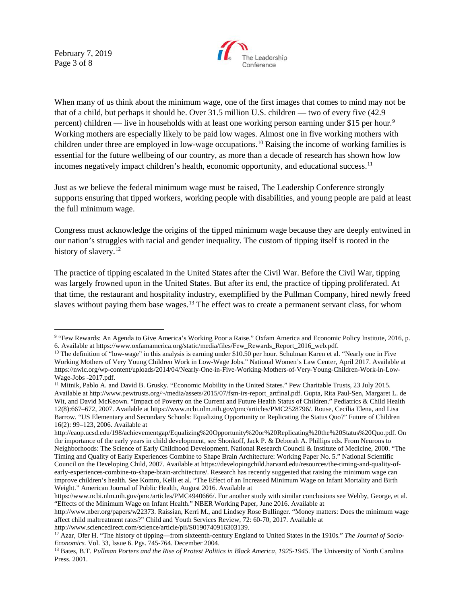February 7, 2019 Page 3 of 8



When many of us think about the minimum wage, one of the first images that comes to mind may not be that of a child, but perhaps it should be. Over 31.5 million U.S. children — two of every five (42.9 percent) children — live in households with at least one working person earning under \$15 per hour.<sup>9</sup> Working mothers are especially likely to be paid low wages. Almost one in five working mothers with children under three are employed in low-wage occupations.[10](#page-2-1) Raising the income of working families is essential for the future wellbeing of our country, as more than a decade of research has shown how low incomes negatively impact children's health, economic opportunity, and educational success.<sup>[11](#page-2-2)</sup>

Just as we believe the federal minimum wage must be raised, The Leadership Conference strongly supports ensuring that tipped workers, working people with disabilities, and young people are paid at least the full minimum wage.

Congress must acknowledge the origins of the tipped minimum wage because they are deeply entwined in our nation's struggles with racial and gender inequality. The custom of tipping itself is rooted in the history of slavery.<sup>[12](#page-2-3)</sup>

The practice of tipping escalated in the United States after the Civil War. Before the Civil War, tipping was largely frowned upon in the United States. But after its end, the practice of tipping proliferated. At that time, the restaurant and hospitality industry, exemplified by the Pullman Company, hired newly freed slaves without paying them base wages.<sup>[13](#page-2-4)</sup> The effect was to create a permanent servant class, for whom

<span id="page-2-0"></span> <sup>9</sup> "Few Rewards: An Agenda to Give America's Working Poor a Raise." Oxfam America and Economic Policy Institute, 2016, p. 6. Available at https://www.oxfamamerica.org/static/media/files/Few\_Rewards\_Report\_2016\_web.pdf.

<span id="page-2-1"></span> $10$  The definition of "low-wage" in this analysis is earning under \$10.50 per hour. Schulman Karen et al. "Nearly one in Five Working Mothers of Very Young Children Work in Low-Wage Jobs." National Women's Law Center, April 2017. Available at https://nwlc.org/wp-content/uploads/2014/04/Nearly-One-in-Five-Working-Mothers-of-Very-Young-Children-Work-in-Low-Wage-Jobs -2017.pdf.

<span id="page-2-2"></span><sup>&</sup>lt;sup>11</sup> Mitnik, Pablo A. and David B. Grusky. "Economic Mobility in the United States." Pew Charitable Trusts, 23 July 2015. Available at http://www.pewtrusts.org/~/media/assets/2015/07/fsm-irs-report\_artfinal.pdf. Gupta, Rita Paul-Sen, Margaret L. de Wit, and David McKeown. "Impact of Poverty on the Current and Future Health Status of Children." Pediatrics & Child Health 12(8):667–672, 2007. Available at https://www.ncbi.nlm.nih.gov/pmc/articles/PMC2528796/. Rouse, Cecilia Elena, and Lisa Barrow. "US Elementary and Secondary Schools: Equalizing Opportunity or Replicating the Status Quo?" Future of Children 16(2): 99–123, 2006. Available at

http://eaop.ucsd.edu/198/achievementgap/Equalizing%20Opportunity%20or%20Replicating%20the%20Status%20Quo.pdf. On the importance of the early years in child development, see Shonkoff, Jack P. & Deborah A. Phillips eds. From Neurons to Neighborhoods: The Science of Early Childhood Development. National Research Council & Institute of Medicine, 2000. "The Timing and Quality of Early Experiences Combine to Shape Brain Architecture: Working Paper No. 5." National Scientific Council on the Developing Child, 2007. Available at https://developingchild.harvard.edu/resources/the-timing-and-quality-ofearly-experiences-combine-to-shape-brain-architecture/. Research has recently suggested that raising the minimum wage can improve children's health. See Komro, Kelli et al. "The Effect of an Increased Minimum Wage on Infant Mortality and Birth Weight." American Journal of Public Health, August 2016. Available at

https://www.ncbi.nlm.nih.gov/pmc/articles/PMC4940666/. For another study with similar conclusions see Wehby, George, et al. "Effects of the Minimum Wage on Infant Health." NBER Working Paper, June 2016. Available at

http://www.nber.org/papers/w22373. Raissian, Kerri M., and Lindsey Rose Bullinger. "Money matters: Does the minimum wage affect child maltreatment rates?" Child and Youth Services Review, 72: 60-70, 2017. Available at http://www.sciencedirect.com/science/article/pii/S0190740916303139.

<span id="page-2-3"></span><sup>12</sup> Azar, Ofer H. "The history of tipping—from sixteenth-century England to United States in the 1910s." *The Journal of Socio-Economics.* Vol. 33, Issue 6. Pgs. 745-764. December 2004.<br><sup>13</sup> Bates, B.T. *Pullman Porters and the Rise of Protest Politics in Black America, 1925-1945*. The University of North Carolina

<span id="page-2-4"></span>Press. 2001.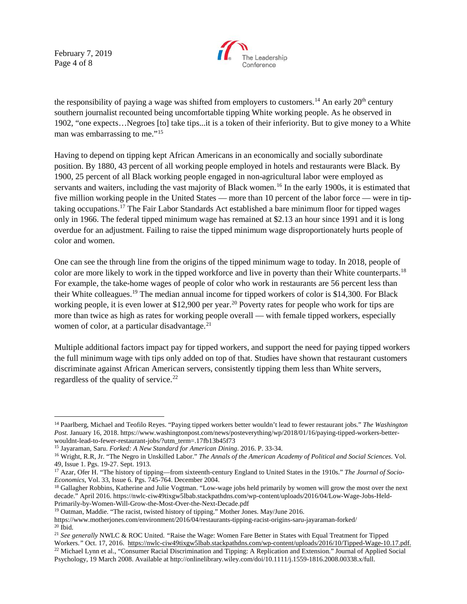February 7, 2019 Page 4 of 8



the responsibility of paying a wage was shifted from employers to customers.<sup>[14](#page-3-0)</sup> An early  $20<sup>th</sup>$  century southern journalist recounted being uncomfortable tipping White working people. As he observed in 1902, "one expects…Negroes [to] take tips...it is a token of their inferiority. But to give money to a White man was embarrassing to me."<sup>[15](#page-3-1)</sup>

Having to depend on tipping kept African Americans in an economically and socially subordinate position. By 1880, 43 percent of all working people employed in hotels and restaurants were Black. By 1900, 25 percent of all Black working people engaged in non-agricultural labor were employed as servants and waiters, including the vast majority of Black women.<sup>[16](#page-3-2)</sup> In the early 1900s, it is estimated that five million working people in the United States — more than 10 percent of the labor force — were in tiptaking occupations.[17](#page-3-3) The Fair Labor Standards Act established a bare minimum floor for tipped wages only in 1966. The federal tipped minimum wage has remained at \$2.13 an hour since 1991 and it is long overdue for an adjustment. Failing to raise the tipped minimum wage disproportionately hurts people of color and women.

One can see the through line from the origins of the tipped minimum wage to today. In 2018, people of color are more likely to work in the tipped workforce and live in poverty than their White counterparts.<sup>[18](#page-3-4)</sup> For example, the take-home wages of people of color who work in restaurants are 56 percent less than their White colleagues.[19](#page-3-5) The median annual income for tipped workers of color is \$14,300. For Black working people, it is even lower at \$12,900 per year.<sup>[20](#page-3-6)</sup> Poverty rates for people who work for tips are more than twice as high as rates for working people overall — with female tipped workers, especially women of color, at a particular disadvantage. $^{21}$  $^{21}$  $^{21}$ 

Multiple additional factors impact pay for tipped workers, and support the need for paying tipped workers the full minimum wage with tips only added on top of that. Studies have shown that restaurant customers discriminate against African American servers, consistently tipping them less than White servers, regardless of the quality of service.<sup>[22](#page-3-8)</sup>

<span id="page-3-0"></span> <sup>14</sup> Paarlberg, Michael and Teofilo Reyes. "Paying tipped workers better wouldn't lead to fewer restaurant jobs." *The Washington Post.* January 16, 2018. https://www.washingtonpost.com/news/posteverything/wp/2018/01/16/paying-tipped-workers-betterwouldnt-lead-to-fewer-restaurant-jobs/?utm\_term=.17fb13b45f73<br><sup>15</sup> Jayaraman, Saru. *Forked: A New Standard for American Dining*. 2016. P. 33-34.

<span id="page-3-1"></span>

<span id="page-3-2"></span><sup>&</sup>lt;sup>16</sup> Wright, R.R, Jr. "The Negro in Unskilled Labor." *The Annals of the American Academy of Political and Social Sciences*. Vol. 49, Issue 1. Pgs. 19-27. Sept. 1913.

<span id="page-3-3"></span><sup>&</sup>lt;sup>17</sup> Azar, Ofer H. "The history of tipping—from sixteenth-century England to United States in the 1910s." *The Journal of Socio-*<br>*Economics*, Vol. 33, Issue 6. Pgs. 745-764. December 2004.

<span id="page-3-4"></span><sup>&</sup>lt;sup>18</sup> Gallagher Robbins, Katherine and Julie Vogtman. "Low-wage jobs held primarily by women will grow the most over the next decade." April 2016. https://nwlc-ciw49tixgw5lbab.stackpathdns.com/wp-content/uploads/2016/04/Low-Wage-Jobs-Held-Primarily-by-Women-Will-Grow-the-Most-Over-the-Next-Decade.pdf

<span id="page-3-5"></span><sup>&</sup>lt;sup>19</sup> Oatman, Maddie. "The racist, twisted history of tipping." Mother Jones. May/June 2016.

https://www.motherjones.com/environment/2016/04/restaurants-tipping-racist-origins-saru-jayaraman-forked/  $20$  Ibid.

<span id="page-3-8"></span><span id="page-3-7"></span><span id="page-3-6"></span><sup>21</sup> *See generally* NWLC & ROC United. *"*Raise the Wage: Women Fare Better in States with Equal Treatment for Tipped Workers." Oct. 17, 2016. [https://nwlc-ciw49tixgw5lbab.stackpathdns.com/wp-content/uploads/2016/10/Tipped-Wage-10.17.pdf.](https://nwlc-ciw49tixgw5lbab.stackpathdns.com/wp-content/uploads/2016/10/Tipped-Wage-10.17.pdf) <sup>22</sup> Michael Lynn et al., "Consumer Racial Discrimination and Tipping: A Replication and Extension." Psychology, 19 March 2008. Available at http://onlinelibrary.wiley.com/doi/10.1111/j.1559-1816.2008.00338.x/full.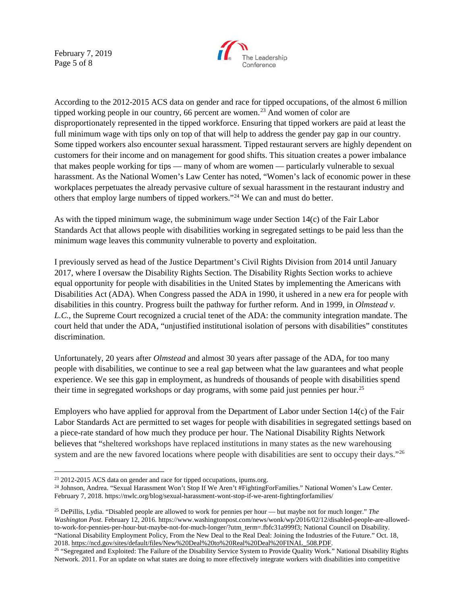February 7, 2019 Page 5 of 8



According to the 2012-2015 ACS data on gender and race for tipped occupations, of the almost 6 million tipped working people in our country, 66 percent are women.<sup>[23](#page-4-0)</sup> And women of color are disproportionately represented in the tipped workforce. Ensuring that tipped workers are paid at least the full minimum wage with tips only on top of that will help to address the gender pay gap in our country. Some tipped workers also encounter sexual harassment. Tipped restaurant servers are highly dependent on customers for their income and on management for good shifts. This situation creates a power imbalance that makes people working for tips — many of whom are women — particularly vulnerable to sexual harassment. As the National Women's Law Center has noted, "Women's lack of economic power in these workplaces perpetuates the already pervasive culture of sexual harassment in the restaurant industry and others that employ large numbers of tipped workers."[24](#page-4-1) We can and must do better.

As with the tipped minimum wage, the subminimum wage under Section 14(c) of the Fair Labor Standards Act that allows people with disabilities working in segregated settings to be paid less than the minimum wage leaves this community vulnerable to poverty and exploitation.

I previously served as head of the Justice Department's Civil Rights Division from 2014 until January 2017, where I oversaw the Disability Rights Section. The Disability Rights Section works to achieve equal opportunity for people with disabilities in the United States by implementing the Americans with Disabilities Act (ADA). When Congress passed the ADA in 1990, it ushered in a new era for people with disabilities in this country. Progress built the pathway for further reform. And in 1999, in *Olmstead v. L.C.*, the Supreme Court recognized a crucial tenet of the ADA: the community integration mandate. The court held that under the ADA, "unjustified institutional isolation of persons with disabilities" constitutes discrimination.

Unfortunately, 20 years after *Olmstead* and almost 30 years after passage of the ADA, for too many people with disabilities, we continue to see a real gap between what the law guarantees and what people experience. We see this gap in employment, as hundreds of thousands of people with disabilities spend their time in segregated workshops or day programs, with some paid just pennies per hour.<sup>[25](#page-4-2)</sup>

Employers who have applied for approval from the Department of Labor under Section 14(c) of the Fair Labor Standards Act are permitted to set wages for people with disabilities in segregated settings based on a piece-rate standard of how much they produce per hour. The National Disability Rights Network believes that "sheltered workshops have replaced institutions in many states as the new warehousing system and are the new favored locations where people with disabilities are sent to occupy their days."<sup>[26](#page-4-3)</sup>

<span id="page-4-0"></span><sup>&</sup>lt;sup>23</sup> 2012-2015 ACS data on gender and race for tipped occupations, ipums.org.

<span id="page-4-1"></span><sup>24</sup> Johnson, Andrea. "Sexual Harassment Won't Stop If We Aren't #FightingForFamilies." National Women's Law Center. February 7, 2018. https://nwlc.org/blog/sexual-harassment-wont-stop-if-we-arent-fightingforfamilies/

<span id="page-4-2"></span><sup>25</sup> DePillis, Lydia. "Disabled people are allowed to work for pennies per hour — but maybe not for much longer." *The Washington Post*. February 12, 2016. https://www.washingtonpost.com/news/wonk/wp/2016/02/12/disabled-people-are-allowedto-work-for-pennies-per-hour-but-maybe-not-for-much-longer/?utm\_term=.fbfc31a999f3; National Council on Disability. "National Disability Employment Policy, From the New Deal to the Real Deal: Joining the Industries of the Future." Oct. 18,<br>2018. https://ncd.gov/sites/default/files/New%20Deal%20to%20Real%20Deal%20FINAL\_508.PDF.

<span id="page-4-3"></span><sup>&</sup>lt;sup>26</sup> "Segregated and Exploited: The Failure of the Disability Service System to Provide Quality Work." National Disability Rights Network. 2011. For an update on what states are doing to more effectively integrate workers with disabilities into competitive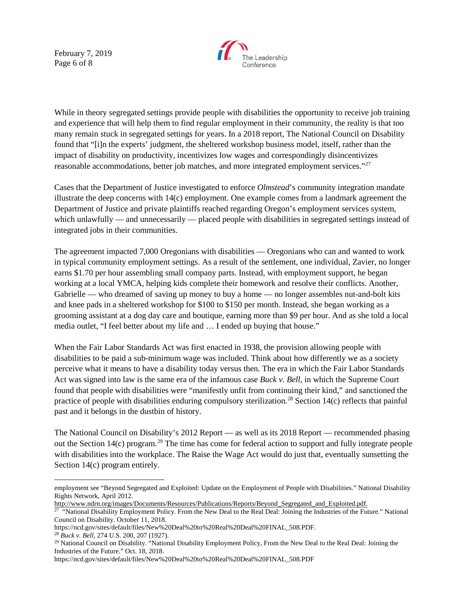February 7, 2019 Page 6 of 8



While in theory segregated settings provide people with disabilities the opportunity to receive job training and experience that will help them to find regular employment in their community, the reality is that too many remain stuck in segregated settings for years. In a 2018 report, The National Council on Disability found that "[i]n the experts' judgment, the sheltered workshop business model, itself, rather than the impact of disability on productivity, incentivizes low wages and correspondingly disincentivizes reasonable accommodations, better job matches, and more integrated employment services."<sup>[27](#page-5-0)</sup>

Cases that the Department of Justice investigated to enforce *Olmstead*'s community integration mandate illustrate the deep concerns with  $14(c)$  employment. One example comes from a landmark agreement the Department of Justice and private plaintiffs reached regarding Oregon's employment services system, which unlawfully — and unnecessarily — placed people with disabilities in segregated settings instead of integrated jobs in their communities.

The agreement impacted 7,000 Oregonians with disabilities — Oregonians who can and wanted to work in typical community employment settings. As a result of the settlement, one individual, Zavier, no longer earns \$1.70 per hour assembling small company parts. Instead, with employment support, he began working at a local YMCA, helping kids complete their homework and resolve their conflicts. Another, Gabrielle — who dreamed of saving up money to buy a home — no longer assembles nut-and-bolt kits and knee pads in a sheltered workshop for \$100 to \$150 per month. Instead, she began working as a grooming assistant at a dog day care and boutique, earning more than \$9 per hour. And as she told a local media outlet, "I feel better about my life and … I ended up buying that house."

When the Fair Labor Standards Act was first enacted in 1938, the provision allowing people with disabilities to be paid a sub-minimum wage was included. Think about how differently we as a society perceive what it means to have a disability today versus then. The era in which the Fair Labor Standards Act was signed into law is the same era of the infamous case *Buck v. Bell*, in which the Supreme Court found that people with disabilities were "manifestly unfit from continuing their kind," and sanctioned the practice of people with disabilities enduring compulsory sterilization.<sup>[28](#page-5-1)</sup> Section 14(c) reflects that painful past and it belongs in the dustbin of history.

The National Council on Disability's 2012 Report — as well as its 2018 Report — recommended phasing out the Section  $14(c)$  program.<sup>[29](#page-5-2)</sup> The time has come for federal action to support and fully integrate people with disabilities into the workplace. The Raise the Wage Act would do just that, eventually sunsetting the Section 14(c) program entirely.

employment see "Beyond Segregated and Exploited: Update on the Employment of People with Disabilities." National Disability Rights Network, April 2012.

http://www.ndrn.org/images/Documents/Resources/Publications/Reports/Beyond\_Segregated\_and\_Exploited.pdf.

<span id="page-5-0"></span><sup>&</sup>lt;sup>27</sup> "National Disability Employment Policy. From the New Deal to the Real Deal: Joining the Industries of the Future." National Council on Disability. October 11, 2018.<br>https://ncd.gov/sites/default/files/New%20Deal%20to%20Real%20Deal%20FINAL 508.PDF.

<span id="page-5-2"></span><span id="page-5-1"></span><sup>&</sup>lt;sup>28</sup> Buck v. Bell, 274 U.S. 200, 207 (1927).<br><sup>29</sup> National Council on Disability. "National Disability Employment Policy, From the New Deal to the Real Deal: Joining the Industries of the Future." Oct. 18, 2018.

https://ncd.gov/sites/default/files/New%20Deal%20to%20Real%20Deal%20FINAL\_508.PDF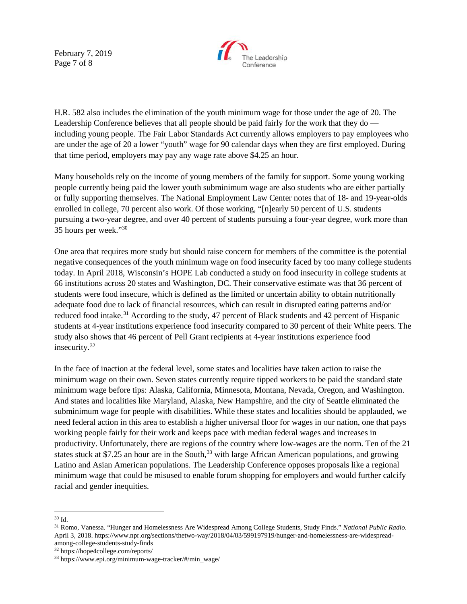February 7, 2019 Page 7 of 8



H.R. 582 also includes the elimination of the youth minimum wage for those under the age of 20. The Leadership Conference believes that all people should be paid fairly for the work that they do including young people. The Fair Labor Standards Act currently allows employers to pay employees who are under the age of 20 a lower "youth" wage for 90 calendar days when they are first employed. During that time period, employers may pay any wage rate above \$4.25 an hour.

Many households rely on the income of young members of the family for support. Some young working people currently being paid the lower youth subminimum wage are also students who are either partially or fully supporting themselves. The National Employment Law Center notes that of 18- and 19-year-olds enrolled in college, 70 percent also work. Of those working, "[n]early 50 percent of U.S. students pursuing a two-year degree, and over 40 percent of students pursuing a four-year degree, work more than 35 hours per week."[30](#page-6-0)

One area that requires more study but should raise concern for members of the committee is the potential negative consequences of the youth minimum wage on food insecurity faced by too many college students today. In April 2018, Wisconsin's HOPE Lab conducted a study on food insecurity in college students at 66 institutions across 20 states and Washington, DC. Their conservative estimate was that 36 percent of students were food insecure, which is defined as the limited or uncertain ability to obtain nutritionally adequate food due to lack of financial resources, which can result in disrupted eating patterns and/or reduced food intake.<sup>[31](#page-6-1)</sup> According to the study, 47 percent of Black students and 42 percent of Hispanic students at 4-year institutions experience food insecurity compared to 30 percent of their White peers. The study also shows that 46 percent of Pell Grant recipients at 4-year institutions experience food insecurity.<sup>[32](#page-6-2)</sup>

In the face of inaction at the federal level, some states and localities have taken action to raise the minimum wage on their own. Seven states currently require tipped workers to be paid the standard state minimum wage before tips: Alaska, California, Minnesota, Montana, Nevada, Oregon, and Washington. And states and localities like Maryland, Alaska, New Hampshire, and the city of Seattle eliminated the subminimum wage for people with disabilities. While these states and localities should be applauded, we need federal action in this area to establish a higher universal floor for wages in our nation, one that pays working people fairly for their work and keeps pace with median federal wages and increases in productivity. Unfortunately, there are regions of the country where low-wages are the norm. Ten of the 21 states stuck at \$7.25 an hour are in the South, $33$  with large African American populations, and growing Latino and Asian American populations. The Leadership Conference opposes proposals like a regional minimum wage that could be misused to enable forum shopping for employers and would further calcify racial and gender inequities.

<span id="page-6-1"></span><span id="page-6-0"></span><sup>30</sup> Id. 31 Romo, Vanessa. "Hunger and Homelessness Are Widespread Among College Students, Study Finds." *National Public Radio*. April 3, 2018. https://www.npr.org/sections/thetwo-way/2018/04/03/599197919/hunger-and-homelessness-are-widespreadamong-college-students-study-finds

<span id="page-6-2"></span><sup>32</sup> https://hope4college.com/reports/

<span id="page-6-3"></span> $33 \text{ https://www.epi.org/minimum-wave-tracker/#/min wave/}$